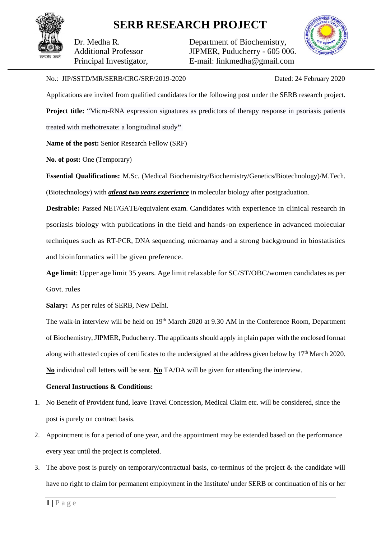## **SERB RESEARCH PROJECT**

Dr. Medha R. Additional Professor Principal Investigator, Department of Biochemistry, JIPMER, Puducherry - 605 006. E-mail: linkmedha@gmail.com



## No.: JIP/SSTD/MR/SERB/CRG/SRF/2019-2020 Dated: 24 February 2020

Applications are invited from qualified candidates for the following post under the SERB research project. **Project title:** "Micro-RNA expression signatures as predictors of therapy response in psoriasis patients treated with methotrexate: a longitudinal study**"**

**Name of the post:** Senior Research Fellow (SRF)

**No. of post:** One (Temporary)

**Essential Qualifications:** M.Sc. (Medical Biochemistry/Biochemistry/Genetics/Biotechnology)/M.Tech. (Biotechnology) with *atleast two years experience* in molecular biology after postgraduation.

**Desirable:** Passed NET/GATE/equivalent exam. Candidates with experience in clinical research in psoriasis biology with publications in the field and hands-on experience in advanced molecular techniques such as RT-PCR, DNA sequencing, microarray and a strong background in biostatistics and bioinformatics will be given preference.

**Age limit**: Upper age limit 35 years. Age limit relaxable for SC/ST/OBC/women candidates as per Govt. rules

**Salary:** As per rules of SERB, New Delhi.

The walk-in interview will be held on  $19<sup>th</sup>$  March 2020 at 9.30 AM in the Conference Room, Department of Biochemistry, JIPMER, Puducherry. The applicants should apply in plain paper with the enclosed format along with attested copies of certificates to the undersigned at the address given below by 17<sup>th</sup> March 2020. **No** individual call letters will be sent. **No** TA/DA will be given for attending the interview.

## **General Instructions & Conditions:**

- 1. No Benefit of Provident fund, leave Travel Concession, Medical Claim etc. will be considered, since the post is purely on contract basis.
- 2. Appointment is for a period of one year, and the appointment may be extended based on the performance every year until the project is completed.
- 3. The above post is purely on temporary/contractual basis, co-terminus of the project & the candidate will have no right to claim for permanent employment in the Institute/ under SERB or continuation of his or her